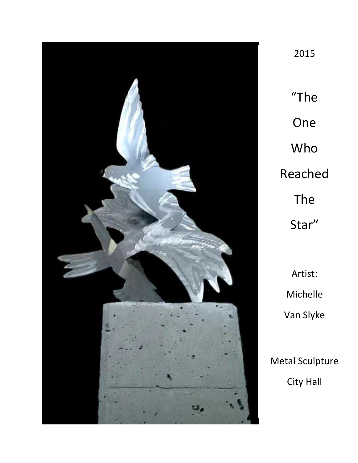

"The One Who Reached The Star"

2015

Artist: Michelle Van Slyke

Metal Sculpture City Hall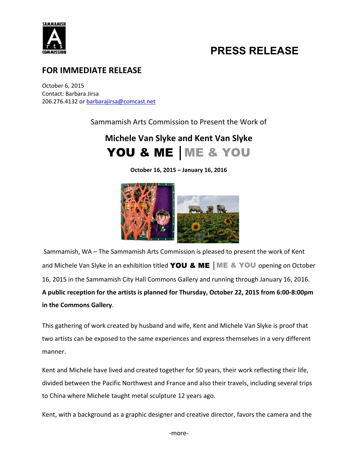

## PRESS RELEASE

#### FOR IMMEDIATE RELEASE

October 6, 2015 Contact: Barbara Jirsa 206.276.4132 or barbarajirsa@comcast.net

Sammamish Arts Commission to Present the Work of

### Michele Van Slyke and Kent Van Slyke YOU & ME | ME & YOU

October 16, 2015 – January 16, 2016



Sammamish, WA – The Sammamish Arts Commission is pleased to present the work of Kent and Michele Van Slyke in an exhibition titled YOU & ME | ME & YOU opening on October 16, 2015 in the Sammamish City Hall Commons Gallery and running through January 16, 2016. A public reception for the artists is planned for Thursday, October 22, 2015 from 6:00-8:00pm in the Commons Gallery.

This gathering of work created by husband and wife, Kent and Michele Van Slyke is proof that two artists can be exposed to the same experiences and express themselves in a very different manner.

Kent and Michele have lived and created together for 50 years, their work reflecting their life, divided between the Pacific Northwest and France and also their travels, including several trips to China where Michele taught metal sculpture 12 years ago.

Kent, with a background as a graphic designer and creative director, favors the camera and the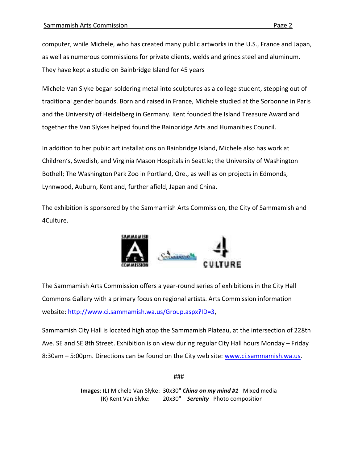computer, while Michele, who has created many public artworks in the U.S., France and Japan, as well as numerous commissions for private clients, welds and grinds steel and aluminum. They have kept a studio on Bainbridge Island for 45 years

Michele Van Slyke began soldering metal into sculptures as a college student, stepping out of traditional gender bounds. Born and raised in France, Michele studied at the Sorbonne in Paris and the University of Heidelberg in Germany. Kent founded the Island Treasure Award and together the Van Slykes helped found the Bainbridge Arts and Humanities Council.

In addition to her public art installations on Bainbridge Island, Michele also has work at Children's, Swedish, and Virginia Mason Hospitals in Seattle; the University of Washington Bothell; The Washington Park Zoo in Portland, Ore., as well as on projects in Edmonds, Lynnwood, Auburn, Kent and, further afield, Japan and China.

The exhibition is sponsored by the Sammamish Arts Commission, the City of Sammamish and 4Culture.



The Sammamish Arts Commission offers a year-round series of exhibitions in the City Hall Commons Gallery with a primary focus on regional artists. Arts Commission information website: http://www.ci.sammamish.wa.us/Group.aspx?ID=3,

Sammamish City Hall is located high atop the Sammamish Plateau, at the intersection of 228th Ave. SE and SE 8th Street. Exhibition is on view during regular City Hall hours Monday – Friday 8:30am – 5:00pm. Directions can be found on the City web site: www.ci.sammamish.wa.us.

###

Images: (L) Michele Van Slyke: 30x30" China on my mind #1 Mixed media (R) Kent Van Slyke: 20x30" Serenity Photo composition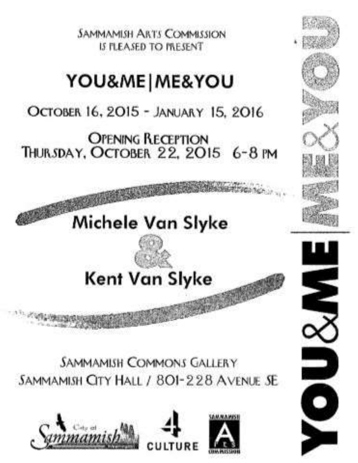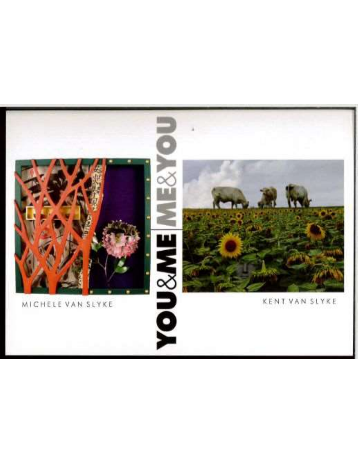